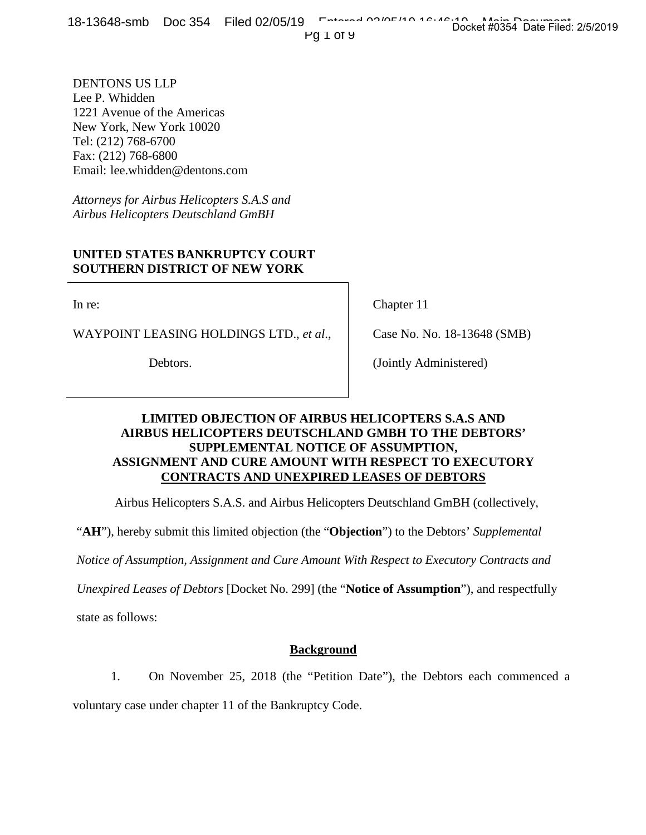Pg 1 of 9

DENTONS US LLP Lee P. Whidden 1221 Avenue of the Americas New York, New York 10020 Tel: (212) 768-6700 Fax: (212) 768-6800 Email: lee.whidden@dentons.com

*Attorneys for Airbus Helicopters S.A.S and Airbus Helicopters Deutschland GmBH*

## **UNITED STATES BANKRUPTCY COURT SOUTHERN DISTRICT OF NEW YORK**

In re:

WAYPOINT LEASING HOLDINGS LTD., *et al*.,

Debtors.

Chapter 11

Case No. No. 18-13648 (SMB)

(Jointly Administered)

# **LIMITED OBJECTION OF AIRBUS HELICOPTERS S.A.S AND AIRBUS HELICOPTERS DEUTSCHLAND GMBH TO THE DEBTORS' SUPPLEMENTAL NOTICE OF ASSUMPTION, ASSIGNMENT AND CURE AMOUNT WITH RESPECT TO EXECUTORY CONTRACTS AND UNEXPIRED LEASES OF DEBTORS**

Airbus Helicopters S.A.S. and Airbus Helicopters Deutschland GmBH (collectively,

"**AH**"), hereby submit this limited objection (the "**Objection**") to the Debtors' *Supplemental*

*Notice of Assumption, Assignment and Cure Amount With Respect to Executory Contracts and* 

*Unexpired Leases of Debtors* [Docket No. 299] (the "**Notice of Assumption**"), and respectfully

state as follows:

# **Background**

1. On November 25, 2018 (the "Petition Date"), the Debtors each commenced a

voluntary case under chapter 11 of the Bankruptcy Code.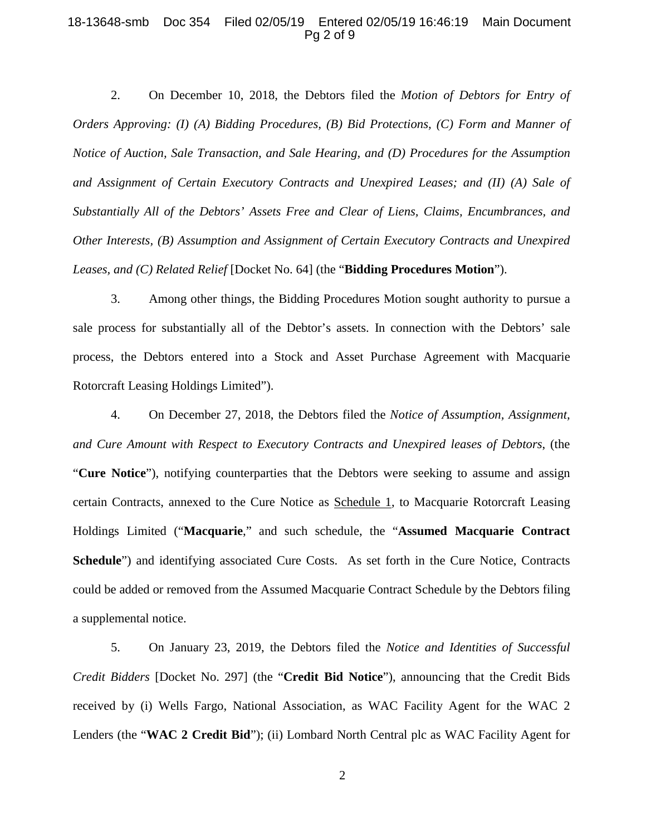### 18-13648-smb Doc 354 Filed 02/05/19 Entered 02/05/19 16:46:19 Main Document Pg 2 of 9

2. On December 10, 2018, the Debtors filed the *Motion of Debtors for Entry of Orders Approving: (I) (A) Bidding Procedures, (B) Bid Protections, (C) Form and Manner of Notice of Auction, Sale Transaction, and Sale Hearing, and (D) Procedures for the Assumption and Assignment of Certain Executory Contracts and Unexpired Leases; and (II) (A) Sale of Substantially All of the Debtors' Assets Free and Clear of Liens, Claims, Encumbrances, and Other Interests, (B) Assumption and Assignment of Certain Executory Contracts and Unexpired Leases, and (C) Related Relief* [Docket No. 64] (the "**Bidding Procedures Motion**").

3. Among other things, the Bidding Procedures Motion sought authority to pursue a sale process for substantially all of the Debtor's assets. In connection with the Debtors' sale process, the Debtors entered into a Stock and Asset Purchase Agreement with Macquarie Rotorcraft Leasing Holdings Limited").

4. On December 27, 2018, the Debtors filed the *Notice of Assumption, Assignment, and Cure Amount with Respect to Executory Contracts and Unexpired leases of Debtors*, (the "**Cure Notice**"), notifying counterparties that the Debtors were seeking to assume and assign certain Contracts, annexed to the Cure Notice as Schedule 1, to Macquarie Rotorcraft Leasing Holdings Limited ("**Macquarie**," and such schedule, the "**Assumed Macquarie Contract Schedule**") and identifying associated Cure Costs. As set forth in the Cure Notice, Contracts could be added or removed from the Assumed Macquarie Contract Schedule by the Debtors filing a supplemental notice.

5. On January 23, 2019, the Debtors filed the *Notice and Identities of Successful Credit Bidders* [Docket No. 297] (the "**Credit Bid Notice**"), announcing that the Credit Bids received by (i) Wells Fargo, National Association, as WAC Facility Agent for the WAC 2 Lenders (the "**WAC 2 Credit Bid**"); (ii) Lombard North Central plc as WAC Facility Agent for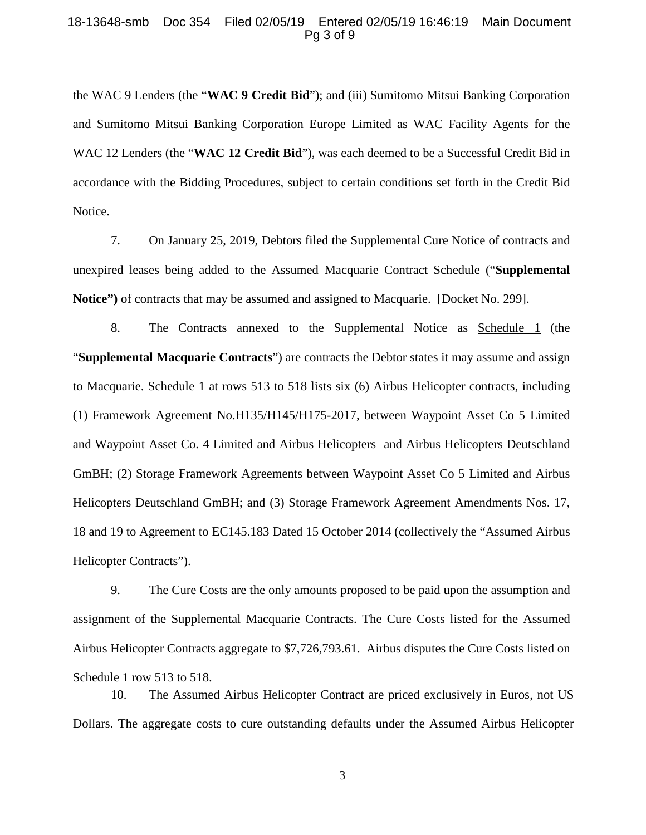### 18-13648-smb Doc 354 Filed 02/05/19 Entered 02/05/19 16:46:19 Main Document Pg 3 of 9

the WAC 9 Lenders (the "**WAC 9 Credit Bid**"); and (iii) Sumitomo Mitsui Banking Corporation and Sumitomo Mitsui Banking Corporation Europe Limited as WAC Facility Agents for the WAC 12 Lenders (the "**WAC 12 Credit Bid**"), was each deemed to be a Successful Credit Bid in accordance with the Bidding Procedures, subject to certain conditions set forth in the Credit Bid Notice.

7. On January 25, 2019, Debtors filed the Supplemental Cure Notice of contracts and unexpired leases being added to the Assumed Macquarie Contract Schedule ("**Supplemental Notice")** of contracts that may be assumed and assigned to Macquarie. [Docket No. 299].

8. The Contracts annexed to the Supplemental Notice as Schedule 1 (the "**Supplemental Macquarie Contracts**") are contracts the Debtor states it may assume and assign to Macquarie. Schedule 1 at rows 513 to 518 lists six (6) Airbus Helicopter contracts, including (1) Framework Agreement No.H135/H145/H175-2017, between Waypoint Asset Co 5 Limited and Waypoint Asset Co. 4 Limited and Airbus Helicopters and Airbus Helicopters Deutschland GmBH; (2) Storage Framework Agreements between Waypoint Asset Co 5 Limited and Airbus Helicopters Deutschland GmBH; and (3) Storage Framework Agreement Amendments Nos. 17, 18 and 19 to Agreement to EC145.183 Dated 15 October 2014 (collectively the "Assumed Airbus Helicopter Contracts").

9. The Cure Costs are the only amounts proposed to be paid upon the assumption and assignment of the Supplemental Macquarie Contracts. The Cure Costs listed for the Assumed Airbus Helicopter Contracts aggregate to \$7,726,793.61. Airbus disputes the Cure Costs listed on Schedule 1 row 513 to 518.

10. The Assumed Airbus Helicopter Contract are priced exclusively in Euros, not US Dollars. The aggregate costs to cure outstanding defaults under the Assumed Airbus Helicopter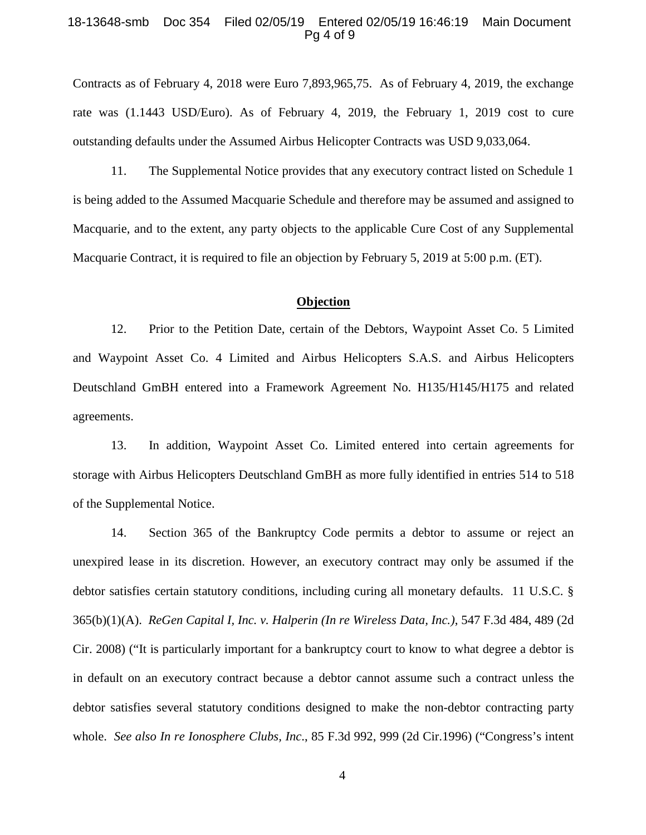#### 18-13648-smb Doc 354 Filed 02/05/19 Entered 02/05/19 16:46:19 Main Document Pg 4 of 9

Contracts as of February 4, 2018 were Euro 7,893,965,75. As of February 4, 2019, the exchange rate was (1.1443 USD/Euro). As of February 4, 2019, the February 1, 2019 cost to cure outstanding defaults under the Assumed Airbus Helicopter Contracts was USD 9,033,064.

11. The Supplemental Notice provides that any executory contract listed on Schedule 1 is being added to the Assumed Macquarie Schedule and therefore may be assumed and assigned to Macquarie, and to the extent, any party objects to the applicable Cure Cost of any Supplemental Macquarie Contract, it is required to file an objection by February 5, 2019 at 5:00 p.m. (ET).

## **Objection**

12. Prior to the Petition Date, certain of the Debtors, Waypoint Asset Co. 5 Limited and Waypoint Asset Co. 4 Limited and Airbus Helicopters S.A.S. and Airbus Helicopters Deutschland GmBH entered into a Framework Agreement No. H135/H145/H175 and related agreements.

13. In addition, Waypoint Asset Co. Limited entered into certain agreements for storage with Airbus Helicopters Deutschland GmBH as more fully identified in entries 514 to 518 of the Supplemental Notice.

14. Section 365 of the Bankruptcy Code permits a debtor to assume or reject an unexpired lease in its discretion. However, an executory contract may only be assumed if the debtor satisfies certain statutory conditions, including curing all monetary defaults. 11 U.S.C. § 365(b)(1)(A). *ReGen Capital I, Inc. v. Halperin (In re Wireless Data, Inc.)*, 547 F.3d 484, 489 (2d Cir. 2008) ("It is particularly important for a bankruptcy court to know to what degree a debtor is in default on an executory contract because a debtor cannot assume such a contract unless the debtor satisfies several statutory conditions designed to make the non-debtor contracting party whole. *See also In re Ionosphere Clubs, Inc*., 85 F.3d 992, 999 (2d Cir.1996) ("Congress's intent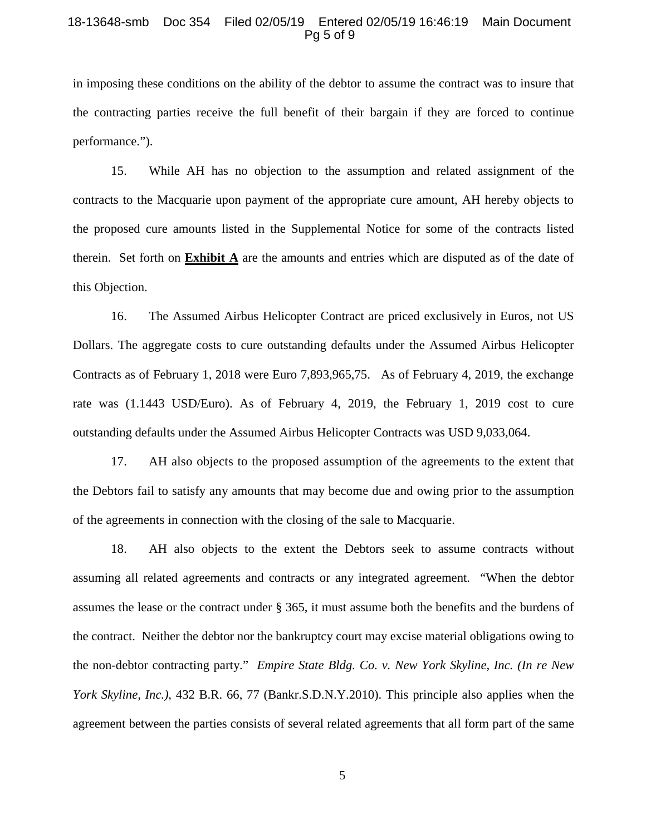#### 18-13648-smb Doc 354 Filed 02/05/19 Entered 02/05/19 16:46:19 Main Document Pg 5 of 9

in imposing these conditions on the ability of the debtor to assume the contract was to insure that the contracting parties receive the full benefit of their bargain if they are forced to continue performance.").

15. While AH has no objection to the assumption and related assignment of the contracts to the Macquarie upon payment of the appropriate cure amount, AH hereby objects to the proposed cure amounts listed in the Supplemental Notice for some of the contracts listed therein. Set forth on **Exhibit A** are the amounts and entries which are disputed as of the date of this Objection.

16. The Assumed Airbus Helicopter Contract are priced exclusively in Euros, not US Dollars. The aggregate costs to cure outstanding defaults under the Assumed Airbus Helicopter Contracts as of February 1, 2018 were Euro 7,893,965,75. As of February 4, 2019, the exchange rate was (1.1443 USD/Euro). As of February 4, 2019, the February 1, 2019 cost to cure outstanding defaults under the Assumed Airbus Helicopter Contracts was USD 9,033,064.

17. AH also objects to the proposed assumption of the agreements to the extent that the Debtors fail to satisfy any amounts that may become due and owing prior to the assumption of the agreements in connection with the closing of the sale to Macquarie.

18. AH also objects to the extent the Debtors seek to assume contracts without assuming all related agreements and contracts or any integrated agreement. "When the debtor assumes the lease or the contract under § 365, it must assume both the benefits and the burdens of the contract. Neither the debtor nor the bankruptcy court may excise material obligations owing to the non-debtor contracting party." *Empire State Bldg. Co. v. New York Skyline, Inc. (In re New York Skyline, Inc.)*, 432 B.R. 66, 77 (Bankr.S.D.N.Y.2010). This principle also applies when the agreement between the parties consists of several related agreements that all form part of the same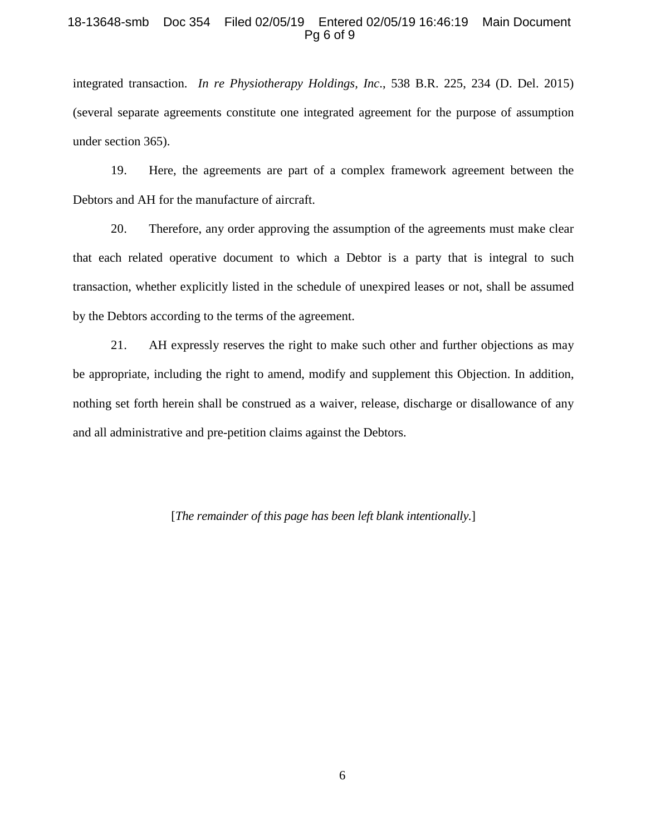#### 18-13648-smb Doc 354 Filed 02/05/19 Entered 02/05/19 16:46:19 Main Document Pg 6 of 9

integrated transaction. *In re Physiotherapy Holdings, Inc*., 538 B.R. 225, 234 (D. Del. 2015) (several separate agreements constitute one integrated agreement for the purpose of assumption under section 365).

19. Here, the agreements are part of a complex framework agreement between the Debtors and AH for the manufacture of aircraft.

20. Therefore, any order approving the assumption of the agreements must make clear that each related operative document to which a Debtor is a party that is integral to such transaction, whether explicitly listed in the schedule of unexpired leases or not, shall be assumed by the Debtors according to the terms of the agreement.

21. AH expressly reserves the right to make such other and further objections as may be appropriate, including the right to amend, modify and supplement this Objection. In addition, nothing set forth herein shall be construed as a waiver, release, discharge or disallowance of any and all administrative and pre-petition claims against the Debtors.

[*The remainder of this page has been left blank intentionally.*]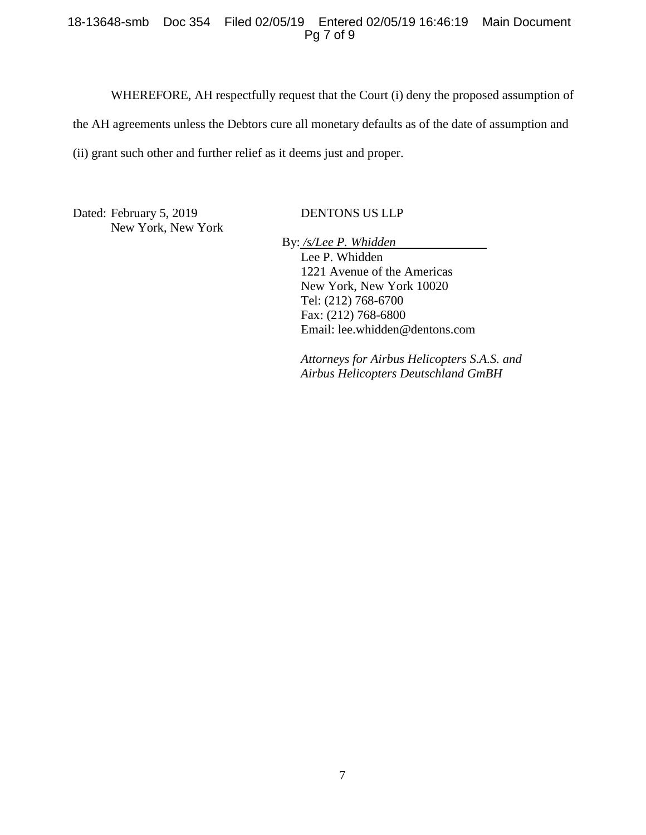### 18-13648-smb Doc 354 Filed 02/05/19 Entered 02/05/19 16:46:19 Main Document Pg 7 of 9

WHEREFORE, AH respectfully request that the Court (i) deny the proposed assumption of the AH agreements unless the Debtors cure all monetary defaults as of the date of assumption and (ii) grant such other and further relief as it deems just and proper.

Dated: February 5, 2019 New York, New York

DENTONS US LLP

By: */s/Lee P. Whidden* Lee P. Whidden 1221 Avenue of the Americas New York, New York 10020 Tel: (212) 768-6700 Fax: (212) 768-6800 Email: lee.whidden@dentons.com

*Attorneys for Airbus Helicopters S.A.S. and Airbus Helicopters Deutschland GmBH*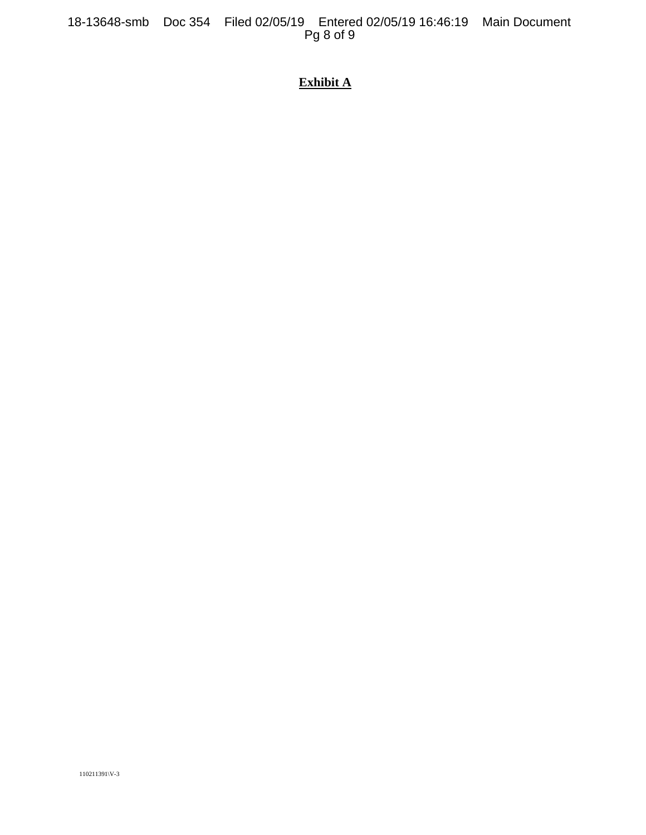# **Exhibit A**